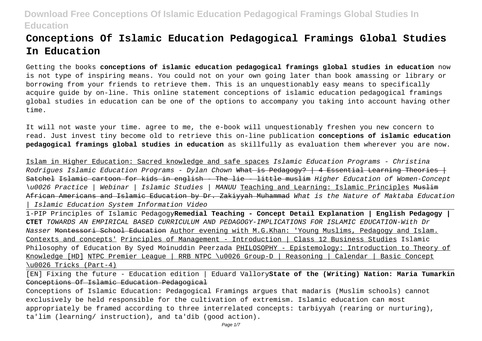# **Conceptions Of Islamic Education Pedagogical Framings Global Studies In Education**

Getting the books **conceptions of islamic education pedagogical framings global studies in education** now is not type of inspiring means. You could not on your own going later than book amassing or library or borrowing from your friends to retrieve them. This is an unquestionably easy means to specifically acquire guide by on-line. This online statement conceptions of islamic education pedagogical framings global studies in education can be one of the options to accompany you taking into account having other time.

It will not waste your time. agree to me, the e-book will unquestionably freshen you new concern to read. Just invest tiny become old to retrieve this on-line publication **conceptions of islamic education pedagogical framings global studies in education** as skillfully as evaluation them wherever you are now.

Islam in Higher Education: Sacred knowledge and safe spaces Islamic Education Programs - Christina Rodrigues Islamic Education Programs - Dylan Chown What is Pedagogy?  $\vert$  4 Essential Learning Theories  $\vert$ Satchel Islamic cartoon for kids in english - The lie - little muslim Higher Education of Women-Concept \u0026 Practice | Webinar | Islamic Studies | MANUU Teaching and Learning: Islamic Principles <del>Muslim</del> African Americans and Islamic Education by Dr. Zakiyyah Muhammad What is the Nature of Maktaba Education | Islamic Education System Information Video

1-PIP Principles of Islamic Pedagogy**Remedial Teaching - Concept Detail Explanation | English Pedagogy | CTET** TOWARDS AN EMPIRICAL BASED CURRICULUM AND PEDAGOGY-IMPLICATIONS FOR ISLAMIC EDUCATION-With Dr Nasser Montessori School Education Author evening with M.G.Khan: 'Young Muslims, Pedagogy and Islam. Contexts and concepts' Principles of Management - Introduction | Class 12 Business Studies Islamic Philosophy of Education By Syed Moinuddin Peerzada PHILOSOPHY - Epistemology: Introduction to Theory of Knowledge [HD] NTPC Premier League | RRB NTPC \u0026 Group-D | Reasoning | Calendar | Basic Concept \u0026 Tricks (Part-4)

[EN] Fixing the future - Education edition | Eduard Vallory**State of the (Writing) Nation: Maria Tumarkin** Conceptions Of Islamic Education Pedagogical

Conceptions of Islamic Education: Pedagogical Framings argues that madaris (Muslim schools) cannot exclusively be held responsible for the cultivation of extremism. Islamic education can most appropriately be framed according to three interrelated concepts: tarbiyyah (rearing or nurturing), ta'lim (learning/ instruction), and ta'dib (good action).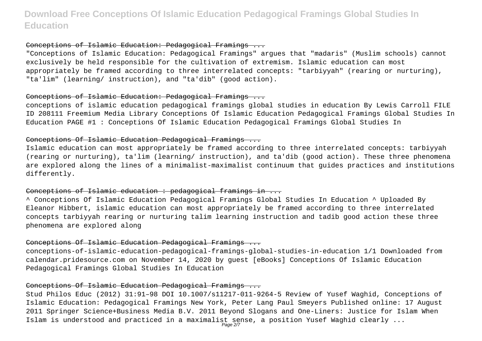#### Conceptions of Islamic Education: Pedagogical Framings ...

"Conceptions of Islamic Education: Pedagogical Framings" argues that "madaris" (Muslim schools) cannot exclusively be held responsible for the cultivation of extremism. Islamic education can most appropriately be framed according to three interrelated concepts: "tarbiyyah" (rearing or nurturing), "ta'lim" (learning/ instruction), and "ta'dib" (good action).

#### Conceptions of Islamic Education: Pedagogical Framings ...

conceptions of islamic education pedagogical framings global studies in education By Lewis Carroll FILE ID 208111 Freemium Media Library Conceptions Of Islamic Education Pedagogical Framings Global Studies In Education PAGE #1 : Conceptions Of Islamic Education Pedagogical Framings Global Studies In

#### Conceptions Of Islamic Education Pedagogical Framings ...

Islamic education can most appropriately be framed according to three interrelated concepts: tarbiyyah (rearing or nurturing), ta'lim (learning/ instruction), and ta'dib (good action). These three phenomena are explored along the lines of a minimalist-maximalist continuum that guides practices and institutions differently.

#### Conceptions of Islamic education : pedagogical framings in ...

^ Conceptions Of Islamic Education Pedagogical Framings Global Studies In Education ^ Uploaded By Eleanor Hibbert, islamic education can most appropriately be framed according to three interrelated concepts tarbiyyah rearing or nurturing talim learning instruction and tadib good action these three phenomena are explored along

### Conceptions Of Islamic Education Pedagogical Framings ...

conceptions-of-islamic-education-pedagogical-framings-global-studies-in-education 1/1 Downloaded from calendar.pridesource.com on November 14, 2020 by guest [eBooks] Conceptions Of Islamic Education Pedagogical Framings Global Studies In Education

### Conceptions Of Islamic Education Pedagogical Framings ...

Stud Philos Educ (2012) 31:91–98 DOI 10.1007/s11217-011-9264-5 Review of Yusef Waghid, Conceptions of Islamic Education: Pedagogical Framings New York, Peter Lang Paul Smeyers Published online: 17 August 2011 Springer Science+Business Media B.V. 2011 Beyond Slogans and One-Liners: Justice for Islam When Islam is understood and practiced in a maximalist sense, a position Yusef Waghid clearly ...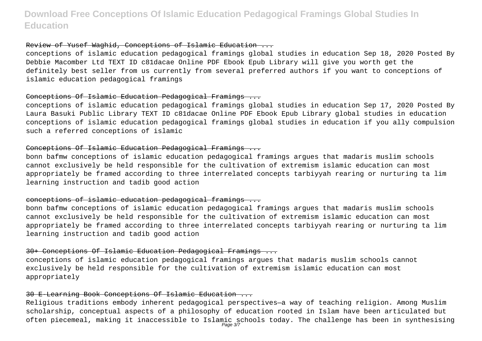#### Review of Yusef Waghid, Conceptions of Islamic Education ...

conceptions of islamic education pedagogical framings global studies in education Sep 18, 2020 Posted By Debbie Macomber Ltd TEXT ID c81dacae Online PDF Ebook Epub Library will give you worth get the definitely best seller from us currently from several preferred authors if you want to conceptions of islamic education pedagogical framings

#### Conceptions Of Islamic Education Pedagogical Framings ...

conceptions of islamic education pedagogical framings global studies in education Sep 17, 2020 Posted By Laura Basuki Public Library TEXT ID c81dacae Online PDF Ebook Epub Library global studies in education conceptions of islamic education pedagogical framings global studies in education if you ally compulsion such a referred conceptions of islamic

#### Conceptions Of Islamic Education Pedagogical Framings ...

bonn bafmw conceptions of islamic education pedagogical framings argues that madaris muslim schools cannot exclusively be held responsible for the cultivation of extremism islamic education can most appropriately be framed according to three interrelated concepts tarbiyyah rearing or nurturing ta lim learning instruction and tadib good action

#### conceptions of islamic education pedagogical framings ...

bonn bafmw conceptions of islamic education pedagogical framings argues that madaris muslim schools cannot exclusively be held responsible for the cultivation of extremism islamic education can most appropriately be framed according to three interrelated concepts tarbiyyah rearing or nurturing ta lim learning instruction and tadib good action

#### 30+ Conceptions Of Islamic Education Pedagogical Framings ...

conceptions of islamic education pedagogical framings argues that madaris muslim schools cannot exclusively be held responsible for the cultivation of extremism islamic education can most appropriately

#### 30 E-Learning Book Conceptions Of Islamic Education ...

Religious traditions embody inherent pedagogical perspectives—a way of teaching religion. Among Muslim scholarship, conceptual aspects of a philosophy of education rooted in Islam have been articulated but often piecemeal, making it inaccessible to Islamic schools today. The challenge has been in synthesising<br>Page 37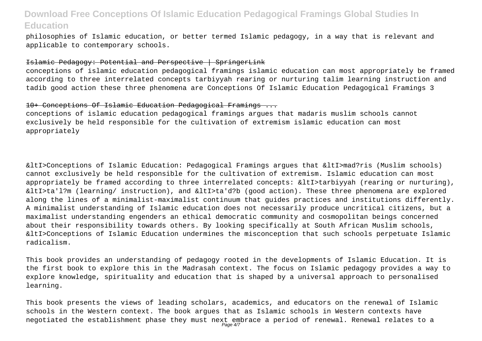philosophies of Islamic education, or better termed Islamic pedagogy, in a way that is relevant and applicable to contemporary schools.

#### Islamic Pedagogy: Potential and Perspective | SpringerLink

conceptions of islamic education pedagogical framings islamic education can most appropriately be framed according to three interrelated concepts tarbiyyah rearing or nurturing talim learning instruction and tadib good action these three phenomena are Conceptions Of Islamic Education Pedagogical Framings 3

#### 10+ Conceptions Of Islamic Education Pedagogical Framings ...

conceptions of islamic education pedagogical framings argues that madaris muslim schools cannot exclusively be held responsible for the cultivation of extremism islamic education can most appropriately

&ltI>Conceptions of Islamic Education: Pedagogical Framings argues that &ltI>mad?ris (Muslim schools) cannot exclusively be held responsible for the cultivation of extremism. Islamic education can most appropriately be framed according to three interrelated concepts: &ltI>tarbiyyah (rearing or nurturing), &ltI>ta'l?m (learning/ instruction), and &ltI>ta'd?b (good action). These three phenomena are explored along the lines of a minimalist-maximalist continuum that guides practices and institutions differently. A minimalist understanding of Islamic education does not necessarily produce uncritical citizens, but a maximalist understanding engenders an ethical democratic community and cosmopolitan beings concerned about their responsibility towards others. By looking specifically at South African Muslim schools, &ltI>Conceptions of Islamic Education undermines the misconception that such schools perpetuate Islamic radicalism.

This book provides an understanding of pedagogy rooted in the developments of Islamic Education. It is the first book to explore this in the Madrasah context. The focus on Islamic pedagogy provides a way to explore knowledge, spirituality and education that is shaped by a universal approach to personalised learning.

This book presents the views of leading scholars, academics, and educators on the renewal of Islamic schools in the Western context. The book argues that as Islamic schools in Western contexts have negotiated the establishment phase they must next embrace a period of renewal. Renewal relates to a<br>Page 4/7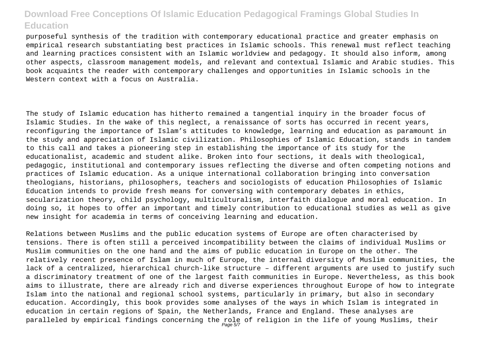purposeful synthesis of the tradition with contemporary educational practice and greater emphasis on empirical research substantiating best practices in Islamic schools. This renewal must reflect teaching and learning practices consistent with an Islamic worldview and pedagogy. It should also inform, among other aspects, classroom management models, and relevant and contextual Islamic and Arabic studies. This book acquaints the reader with contemporary challenges and opportunities in Islamic schools in the Western context with a focus on Australia.

The study of Islamic education has hitherto remained a tangential inquiry in the broader focus of Islamic Studies. In the wake of this neglect, a renaissance of sorts has occurred in recent years, reconfiguring the importance of Islam's attitudes to knowledge, learning and education as paramount in the study and appreciation of Islamic civilization. Philosophies of Islamic Education, stands in tandem to this call and takes a pioneering step in establishing the importance of its study for the educationalist, academic and student alike. Broken into four sections, it deals with theological, pedagogic, institutional and contemporary issues reflecting the diverse and often competing notions and practices of Islamic education. As a unique international collaboration bringing into conversation theologians, historians, philosophers, teachers and sociologists of education Philosophies of Islamic Education intends to provide fresh means for conversing with contemporary debates in ethics, secularization theory, child psychology, multiculturalism, interfaith dialogue and moral education. In doing so, it hopes to offer an important and timely contribution to educational studies as well as give new insight for academia in terms of conceiving learning and education.

Relations between Muslims and the public education systems of Europe are often characterised by tensions. There is often still a perceived incompatibility between the claims of individual Muslims or Muslim communities on the one hand and the aims of public education in Europe on the other. The relatively recent presence of Islam in much of Europe, the internal diversity of Muslim communities, the lack of a centralized, hierarchical church-like structure – different arguments are used to justify such a discriminatory treatment of one of the largest faith communities in Europe. Nevertheless, as this book aims to illustrate, there are already rich and diverse experiences throughout Europe of how to integrate Islam into the national and regional school systems, particularly in primary, but also in secondary education. Accordingly, this book provides some analyses of the ways in which Islam is integrated in education in certain regions of Spain, the Netherlands, France and England. These analyses are paralleled by empirical findings concerning the role of religion in the life of young Muslims, their<br>Page 5/7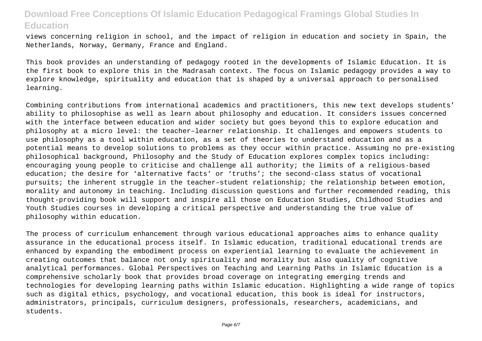views concerning religion in school, and the impact of religion in education and society in Spain, the Netherlands, Norway, Germany, France and England.

This book provides an understanding of pedagogy rooted in the developments of Islamic Education. It is the first book to explore this in the Madrasah context. The focus on Islamic pedagogy provides a way to explore knowledge, spirituality and education that is shaped by a universal approach to personalised learning.

Combining contributions from international academics and practitioners, this new text develops students' ability to philosophise as well as learn about philosophy and education. It considers issues concerned with the interface between education and wider society but goes beyond this to explore education and philosophy at a micro level: the teacher–learner relationship. It challenges and empowers students to use philosophy as a tool within education, as a set of theories to understand education and as a potential means to develop solutions to problems as they occur within practice. Assuming no pre-existing philosophical background, Philosophy and the Study of Education explores complex topics including: encouraging young people to criticise and challenge all authority; the limits of a religious-based education; the desire for 'alternative facts' or 'truths'; the second-class status of vocational pursuits; the inherent struggle in the teacher–student relationship; the relationship between emotion, morality and autonomy in teaching. Including discussion questions and further recommended reading, this thought-providing book will support and inspire all those on Education Studies, Childhood Studies and Youth Studies courses in developing a critical perspective and understanding the true value of philosophy within education.

The process of curriculum enhancement through various educational approaches aims to enhance quality assurance in the educational process itself. In Islamic education, traditional educational trends are enhanced by expanding the embodiment process on experiential learning to evaluate the achievement in creating outcomes that balance not only spirituality and morality but also quality of cognitive analytical performances. Global Perspectives on Teaching and Learning Paths in Islamic Education is a comprehensive scholarly book that provides broad coverage on integrating emerging trends and technologies for developing learning paths within Islamic education. Highlighting a wide range of topics such as digital ethics, psychology, and vocational education, this book is ideal for instructors, administrators, principals, curriculum designers, professionals, researchers, academicians, and students.